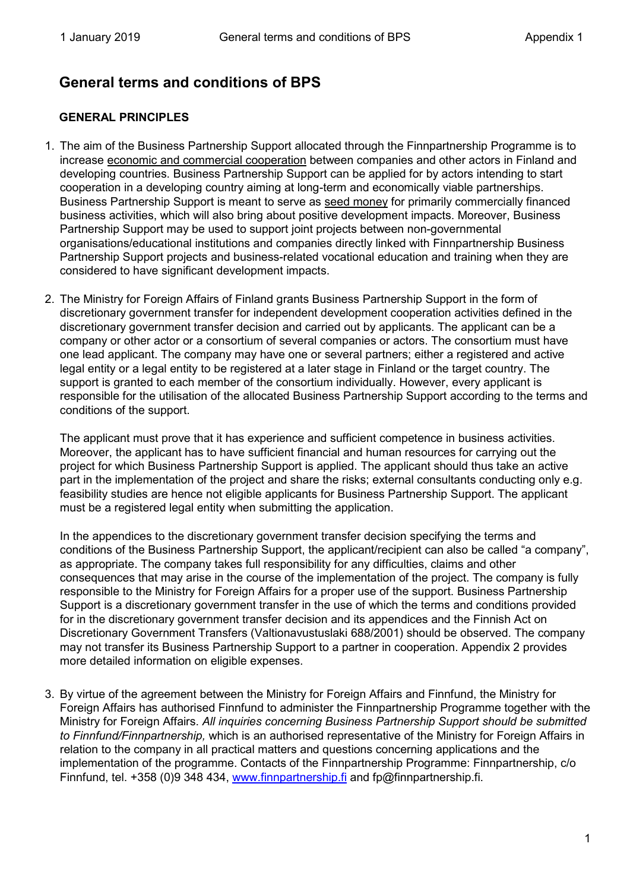# **General terms and conditions of BPS**

## **GENERAL PRINCIPLES**

- 1. The aim of the Business Partnership Support allocated through the Finnpartnership Programme is to increase economic and commercial cooperation between companies and other actors in Finland and developing countries. Business Partnership Support can be applied for by actors intending to start cooperation in a developing country aiming at long-term and economically viable partnerships. Business Partnership Support is meant to serve as seed money for primarily commercially financed business activities, which will also bring about positive development impacts. Moreover, Business Partnership Support may be used to support joint projects between non-governmental organisations/educational institutions and companies directly linked with Finnpartnership Business Partnership Support projects and business-related vocational education and training when they are considered to have significant development impacts.
- 2. The Ministry for Foreign Affairs of Finland grants Business Partnership Support in the form of discretionary government transfer for independent development cooperation activities defined in the discretionary government transfer decision and carried out by applicants. The applicant can be a company or other actor or a consortium of several companies or actors. The consortium must have one lead applicant. The company may have one or several partners; either a registered and active legal entity or a legal entity to be registered at a later stage in Finland or the target country. The support is granted to each member of the consortium individually. However, every applicant is responsible for the utilisation of the allocated Business Partnership Support according to the terms and conditions of the support.

The applicant must prove that it has experience and sufficient competence in business activities. Moreover, the applicant has to have sufficient financial and human resources for carrying out the project for which Business Partnership Support is applied. The applicant should thus take an active part in the implementation of the project and share the risks; external consultants conducting only e.g. feasibility studies are hence not eligible applicants for Business Partnership Support. The applicant must be a registered legal entity when submitting the application.

In the appendices to the discretionary government transfer decision specifying the terms and conditions of the Business Partnership Support, the applicant/recipient can also be called "a company", as appropriate. The company takes full responsibility for any difficulties, claims and other consequences that may arise in the course of the implementation of the project. The company is fully responsible to the Ministry for Foreign Affairs for a proper use of the support. Business Partnership Support is a discretionary government transfer in the use of which the terms and conditions provided for in the discretionary government transfer decision and its appendices and the Finnish Act on Discretionary Government Transfers (Valtionavustuslaki 688/2001) should be observed. The company may not transfer its Business Partnership Support to a partner in cooperation. Appendix 2 provides more detailed information on eligible expenses.

3. By virtue of the agreement between the Ministry for Foreign Affairs and Finnfund, the Ministry for Foreign Affairs has authorised Finnfund to administer the Finnpartnership Programme together with the Ministry for Foreign Affairs. *All inquiries concerning Business Partnership Support should be submitted to Finnfund/Finnpartnership,* which is an authorised representative of the Ministry for Foreign Affairs in relation to the company in all practical matters and questions concerning applications and the implementation of the programme. Contacts of the Finnpartnership Programme: Finnpartnership, c/o Finnfund, tel. +358 (0)9 348 434, [www.finnpartnership.fi](http://www.finnpartnership.fi/) [a](http://www.finnpartnership.fi/)nd fp@finnpartnership.fi.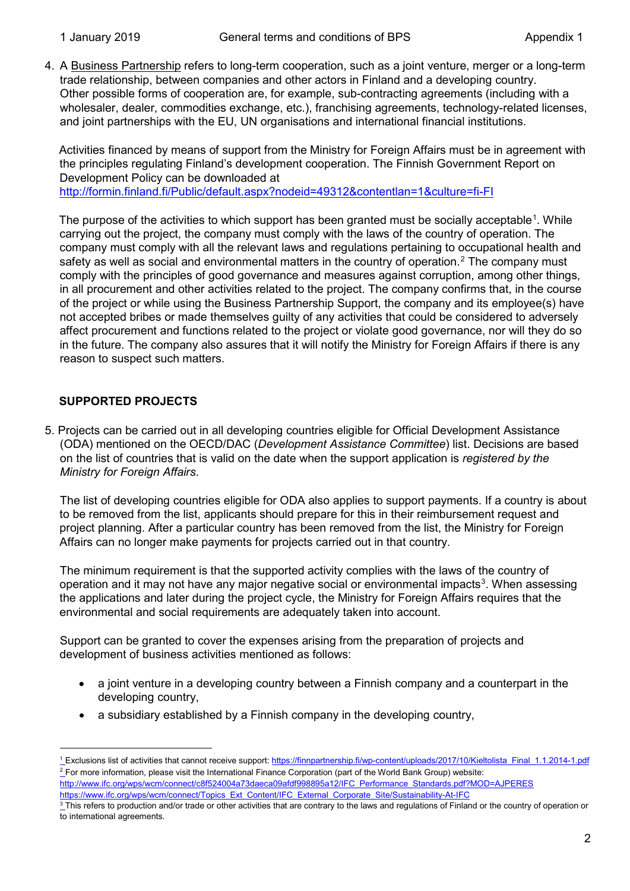4. A Business Partnership refers to long-term cooperation, such as a joint venture, merger or a long-term trade relationship, between companies and other actors in Finland and a developing country. Other possible forms of cooperation are, for example, sub-contracting agreements (including with a wholesaler, dealer, commodities exchange, etc.), franchising agreements, technology-related licenses, and joint partnerships with the EU, UN organisations and international financial institutions.

Activities financed by means of support from the Ministry for Foreign Affairs must be in agreement with the principles regulating Finland's development cooperation. The Finnish Government Report on Development Policy can be downloaded at <http://formin.finland.fi/Public/default.aspx?nodeid=49312&contentlan=1&culture=fi-FI>

The purpose of the activities to which support has been granted must be socially acceptable $^{\text{1}}$  $^{\text{1}}$  $^{\text{1}}$ . While carrying out the project, the company must comply with the laws of the country of operation. The company must comply with all the relevant laws and regulations pertaining to occupational health and safety as well as social and environmental matters in the country of operation.<sup>[2](#page-1-1)</sup> The company must comply with the principles of good governance and measures against corruption, among other things, in all procurement and other activities related to the project. The company confirms that, in the course of the project or while using the Business Partnership Support, the company and its employee(s) have not accepted bribes or made themselves guilty of any activities that could be considered to adversely affect procurement and functions related to the project or violate good governance, nor will they do so in the future. The company also assures that it will notify the Ministry for Foreign Affairs if there is any reason to suspect such matters.

# **SUPPORTED PROJECTS**

5. Projects can be carried out in all developing countries eligible for Official Development Assistance (ODA) mentioned on the OECD/DAC (*Development Assistance Committee*) list. Decisions are based on the list of countries that is valid on the date when the support application is *registered by the Ministry for Foreign Affairs*.

The list of developing countries eligible for ODA also applies to support payments. If a country is about to be removed from the list, applicants should prepare for this in their reimbursement request and project planning. After a particular country has been removed from the list, the Ministry for Foreign Affairs can no longer make payments for projects carried out in that country.

The minimum requirement is that the supported activity complies with the laws of the country of operation and it may not have any major negative social or environmental impacts $^3$  $^3$ . When assessing the applications and later during the project cycle, the Ministry for Foreign Affairs requires that the environmental and social requirements are adequately taken into account.

Support can be granted to cover the expenses arising from the preparation of projects and development of business activities mentioned as follows:

- a joint venture in a developing country between a Finnish company and a counterpart in the developing country,
- a subsidiary established by a Finnish company in the developing country,

https://www.ifc.org/wps/wcm/connect/Topics\_Ext\_[C](http://www.ifc.org/wps/wcm/connect/Topics_Ext_Content/IFC_External_Corporate_Site/IFC+Sustainability/)ontent/IFC\_External\_Corporate\_Site/Sustainability-At-IFC

<span id="page-1-1"></span><span id="page-1-0"></span><sup>&</sup>lt;sup>1</sup> Exclusions list of activities that cannot receive support: https://finnpartnership.fi/wp-content/uploads/2017/10/Kieltolista\_Final\_1.1.2014-1.pdf <sup>2</sup> For more information, please visit the International Finance Corporation (part of the World Bank Group) website: [http://www.ifc.org/wps/wcm/connect/c8f524004a73daeca09afdf998895a12/IFC\\_Performance\\_Standards.pdf?MOD=AJPERES](http://www.ifc.org/wps/wcm/connect/c8f524004a73daeca09afdf998895a12/IFC_Performance_Standards.pdf?MOD=AJPERES)

<span id="page-1-2"></span> $\frac{3}{3}$  This refers to production and/or trade or other activities that are contrary to the laws and regulations of Finland or the country of operation or to international agreements.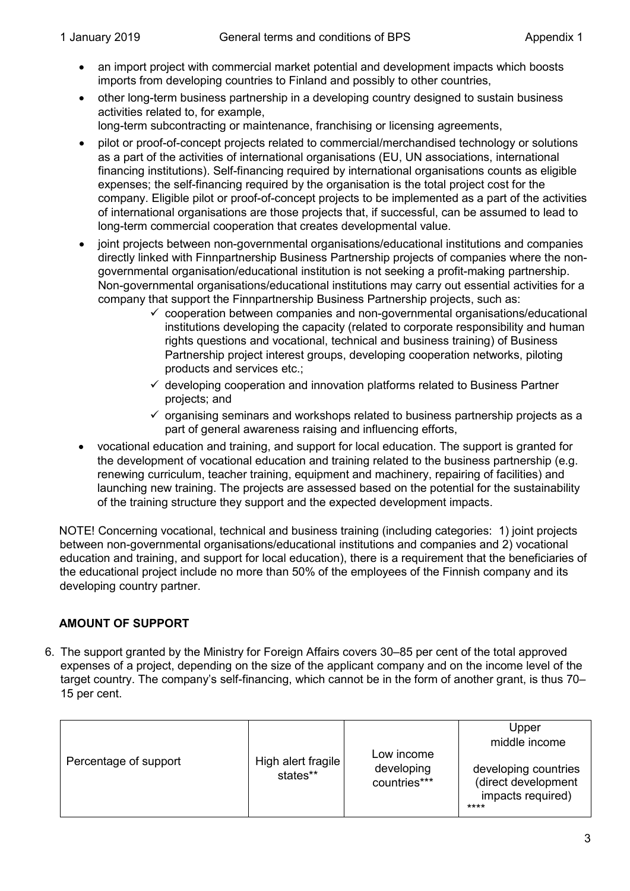- an import project with commercial market potential and development impacts which boosts imports from developing countries to Finland and possibly to other countries,
- other long-term business partnership in a developing country designed to sustain business activities related to, for example,

long-term subcontracting or maintenance, franchising or licensing agreements,

- pilot or proof-of-concept projects related to commercial/merchandised technology or solutions as a part of the activities of international organisations (EU, UN associations, international financing institutions). Self-financing required by international organisations counts as eligible expenses; the self-financing required by the organisation is the total project cost for the company. Eligible pilot or proof-of-concept projects to be implemented as a part of the activities of international organisations are those projects that, if successful, can be assumed to lead to long-term commercial cooperation that creates developmental value.
- joint projects between non-governmental organisations/educational institutions and companies directly linked with Finnpartnership Business Partnership projects of companies where the nongovernmental organisation/educational institution is not seeking a profit-making partnership. Non-governmental organisations/educational institutions may carry out essential activities for a company that support the Finnpartnership Business Partnership projects, such as:
	- $\checkmark$  cooperation between companies and non-governmental organisations/educational institutions developing the capacity (related to corporate responsibility and human rights questions and vocational, technical and business training) of Business Partnership project interest groups, developing cooperation networks, piloting products and services etc.;
	- $\checkmark$  developing cooperation and innovation platforms related to Business Partner projects; and
	- $\checkmark$  organising seminars and workshops related to business partnership projects as a part of general awareness raising and influencing efforts,
- vocational education and training, and support for local education. The support is granted for the development of vocational education and training related to the business partnership (e.g. renewing curriculum, teacher training, equipment and machinery, repairing of facilities) and launching new training. The projects are assessed based on the potential for the sustainability of the training structure they support and the expected development impacts.

NOTE! Concerning vocational, technical and business training (including categories: 1) joint projects between non-governmental organisations/educational institutions and companies and 2) vocational education and training, and support for local education), there is a requirement that the beneficiaries of the educational project include no more than 50% of the employees of the Finnish company and its developing country partner.

# **AMOUNT OF SUPPORT**

6. The support granted by the Ministry for Foreign Affairs covers 30–85 per cent of the total approved expenses of a project, depending on the size of the applicant company and on the income level of the target country. The company's self-financing, which cannot be in the form of another grant, is thus 70– 15 per cent.

| Percentage of support | High alert fragile<br>states** | Low income<br>developing<br>countries*** | Upper<br>middle income                                                   |
|-----------------------|--------------------------------|------------------------------------------|--------------------------------------------------------------------------|
|                       |                                |                                          | developing countries<br>(direct development<br>impacts required)<br>**** |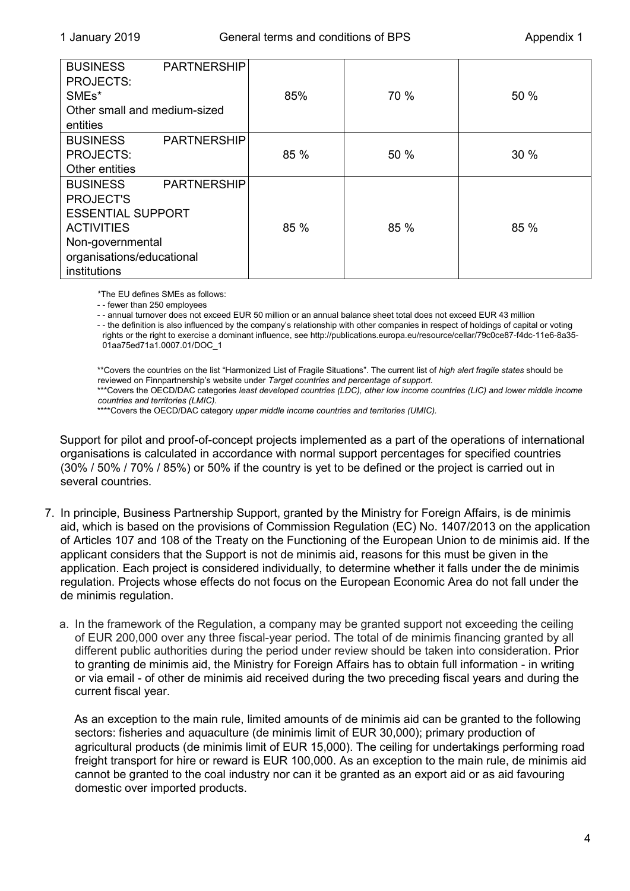| <b>BUSINESS</b><br><b>PARTNERSHIP</b><br><b>PROJECTS:</b><br>SME <sub>s</sub> *<br>Other small and medium-sized<br>entities                                                 | 85%  | 70 % | 50 % |
|-----------------------------------------------------------------------------------------------------------------------------------------------------------------------------|------|------|------|
| <b>PARTNERSHIP</b><br><b>BUSINESS</b><br><b>PROJECTS:</b><br>Other entities                                                                                                 | 85 % | 50 % | 30%  |
| <b>PARTNERSHIP</b><br><b>BUSINESS</b><br><b>PROJECT'S</b><br><b>ESSENTIAL SUPPORT</b><br><b>ACTIVITIES</b><br>Non-governmental<br>organisations/educational<br>institutions | 85 % | 85 % | 85 % |

\*The EU defines SMEs as follows:

- - fewer than 250 employees

- - annual turnover does not exceed EUR 50 million or an annual balance sheet total does not exceed EUR 43 million

- - the definition is also influenced by the company's relationship with other companies in respect of holdings of capital or voting rights or the right to exercise a dominant influence, see http://publications.europa.eu/resource/cellar/79c0ce87-f4dc-11e6-8a35- 01aa75ed71a1.0007.01/DOC\_1

\*\*Covers the countries on the list "Harmonized List of Fragile Situations". The current list of *high alert fragile states* should be reviewed on Finnpartnership's website under *Target countries and percentage of support*. \*\*\*Covers the OECD/DAC categories least developed countries (LDC), other low income countries (LIC) and lower middle income *countries and territories (LMIC).*

\*\*\*\*Covers the OECD/DAC category *upper middle income countries and territories (UMIC)*.

Support for pilot and proof-of-concept projects implemented as a part of the operations of international organisations is calculated in accordance with normal support percentages for specified countries (30% / 50% / 70% / 85%) or 50% if the country is yet to be defined or the project is carried out in several countries.

- 7. In principle, Business Partnership Support, granted by the Ministry for Foreign Affairs, is de minimis aid, which is based on the provisions of Commission Regulation (EC) No. 1407/2013 on the application of Articles 107 and 108 of the Treaty on the Functioning of the European Union to de minimis aid. If the applicant considers that the Support is not de minimis aid, reasons for this must be given in the application. Each project is considered individually, to determine whether it falls under the de minimis regulation. Projects whose effects do not focus on the European Economic Area do not fall under the de minimis regulation.
	- a. In the framework of the Regulation, a company may be granted support not exceeding the ceiling of EUR 200,000 over any three fiscal-year period. The total of de minimis financing granted by all different public authorities during the period under review should be taken into consideration. Prior to granting de minimis aid, the Ministry for Foreign Affairs has to obtain full information - in writing or via email - of other de minimis aid received during the two preceding fiscal years and during the current fiscal year.

As an exception to the main rule, limited amounts of de minimis aid can be granted to the following sectors: fisheries and aquaculture (de minimis limit of EUR 30,000); primary production of agricultural products (de minimis limit of EUR 15,000). The ceiling for undertakings performing road freight transport for hire or reward is EUR 100,000. As an exception to the main rule, de minimis aid cannot be granted to the coal industry nor can it be granted as an export aid or as aid favouring domestic over imported products.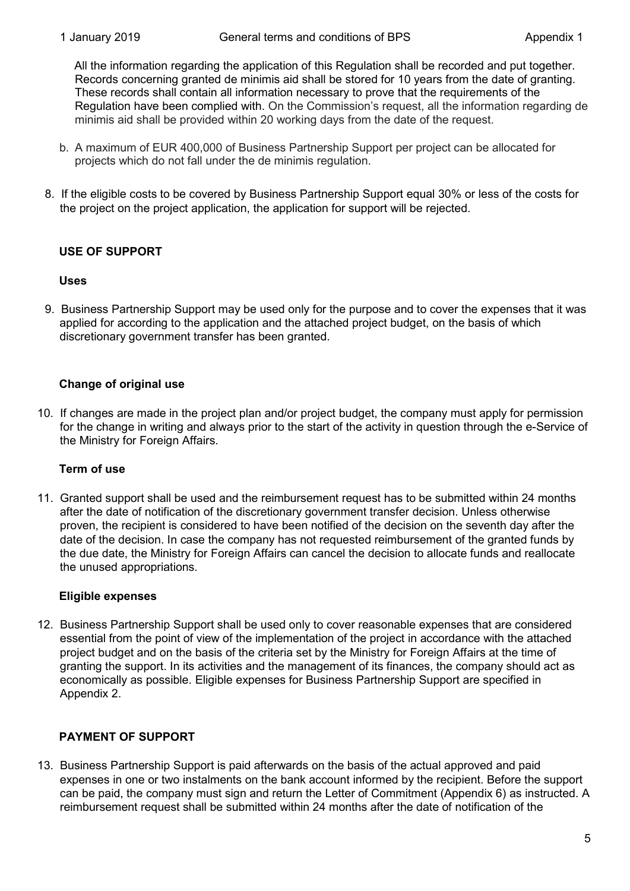All the information regarding the application of this Regulation shall be recorded and put together. Records concerning granted de minimis aid shall be stored for 10 years from the date of granting. These records shall contain all information necessary to prove that the requirements of the Regulation have been complied with. On the Commission's request, all the information regarding de minimis aid shall be provided within 20 working days from the date of the request.

- b. A maximum of EUR 400,000 of Business Partnership Support per project can be allocated for projects which do not fall under the de minimis regulation.
- 8. If the eligible costs to be covered by Business Partnership Support equal 30% or less of the costs for the project on the project application, the application for support will be rejected.

## **USE OF SUPPORT**

## **Uses**

9. Business Partnership Support may be used only for the purpose and to cover the expenses that it was applied for according to the application and the attached project budget, on the basis of which discretionary government transfer has been granted.

# **Change of original use**

10. If changes are made in the project plan and/or project budget, the company must apply for permission for the change in writing and always prior to the start of the activity in question through the e-Service of the Ministry for Foreign Affairs.

## **Term of use**

11. Granted support shall be used and the reimbursement request has to be submitted within 24 months after the date of notification of the discretionary government transfer decision. Unless otherwise proven, the recipient is considered to have been notified of the decision on the seventh day after the date of the decision. In case the company has not requested reimbursement of the granted funds by the due date, the Ministry for Foreign Affairs can cancel the decision to allocate funds and reallocate the unused appropriations.

#### **Eligible expenses**

12. Business Partnership Support shall be used only to cover reasonable expenses that are considered essential from the point of view of the implementation of the project in accordance with the attached project budget and on the basis of the criteria set by the Ministry for Foreign Affairs at the time of granting the support. In its activities and the management of its finances, the company should act as economically as possible. Eligible expenses for Business Partnership Support are specified in Appendix 2.

## **PAYMENT OF SUPPORT**

13. Business Partnership Support is paid afterwards on the basis of the actual approved and paid expenses in one or two instalments on the bank account informed by the recipient. Before the support can be paid, the company must sign and return the Letter of Commitment (Appendix 6) as instructed. A reimbursement request shall be submitted within 24 months after the date of notification of the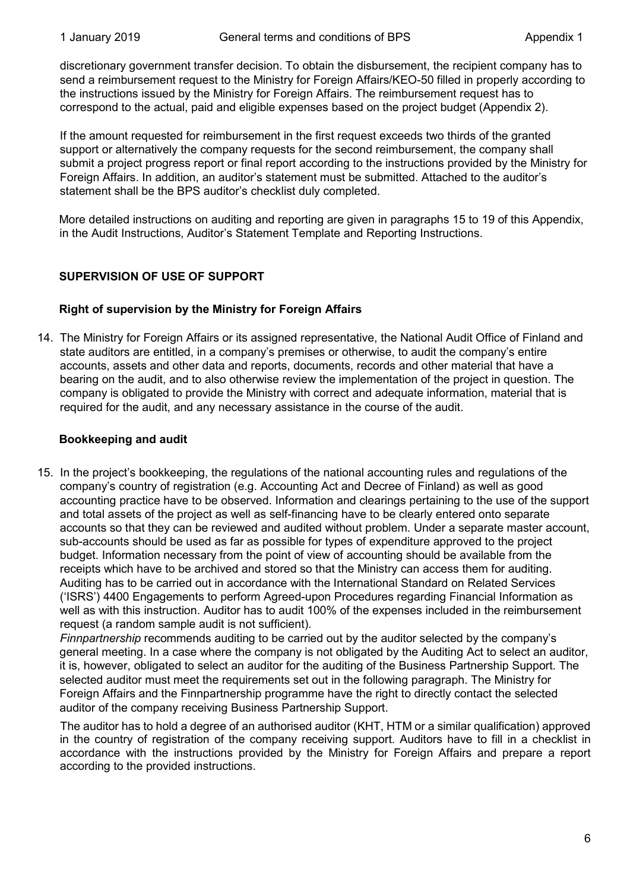discretionary government transfer decision. To obtain the disbursement, the recipient company has to send a reimbursement request to the Ministry for Foreign Affairs/KEO-50 filled in properly according to the instructions issued by the Ministry for Foreign Affairs. The reimbursement request has to correspond to the actual, paid and eligible expenses based on the project budget (Appendix 2).

If the amount requested for reimbursement in the first request exceeds two thirds of the granted support or alternatively the company requests for the second reimbursement, the company shall submit a project progress report or final report according to the instructions provided by the Ministry for Foreign Affairs. In addition, an auditor's statement must be submitted. Attached to the auditor's statement shall be the BPS auditor's checklist duly completed.

More detailed instructions on auditing and reporting are given in paragraphs 15 to 19 of this Appendix, in the Audit Instructions, Auditor's Statement Template and Reporting Instructions.

# **SUPERVISION OF USE OF SUPPORT**

## **Right of supervision by the Ministry for Foreign Affairs**

14. The Ministry for Foreign Affairs or its assigned representative, the National Audit Office of Finland and state auditors are entitled, in a company's premises or otherwise, to audit the company's entire accounts, assets and other data and reports, documents, records and other material that have a bearing on the audit, and to also otherwise review the implementation of the project in question. The company is obligated to provide the Ministry with correct and adequate information, material that is required for the audit, and any necessary assistance in the course of the audit.

#### **Bookkeeping and audit**

15. In the project's bookkeeping, the regulations of the national accounting rules and regulations of the company's country of registration (e.g. Accounting Act and Decree of Finland) as well as good accounting practice have to be observed. Information and clearings pertaining to the use of the support and total assets of the project as well as self-financing have to be clearly entered onto separate accounts so that they can be reviewed and audited without problem. Under a separate master account, sub-accounts should be used as far as possible for types of expenditure approved to the project budget. Information necessary from the point of view of accounting should be available from the receipts which have to be archived and stored so that the Ministry can access them for auditing. Auditing has to be carried out in accordance with the International Standard on Related Services ('ISRS') 4400 Engagements to perform Agreed-upon Procedures regarding Financial Information as well as with this instruction. Auditor has to audit 100% of the expenses included in the reimbursement request (a random sample audit is not sufficient).

*Finnpartnership* recommends auditing to be carried out by the auditor selected by the company's general meeting. In a case where the company is not obligated by the Auditing Act to select an auditor, it is, however, obligated to select an auditor for the auditing of the Business Partnership Support. The selected auditor must meet the requirements set out in the following paragraph. The Ministry for Foreign Affairs and the Finnpartnership programme have the right to directly contact the selected auditor of the company receiving Business Partnership Support.

The auditor has to hold a degree of an authorised auditor (KHT, HTM or a similar qualification) approved in the country of registration of the company receiving support. Auditors have to fill in a checklist in accordance with the instructions provided by the Ministry for Foreign Affairs and prepare a report according to the provided instructions.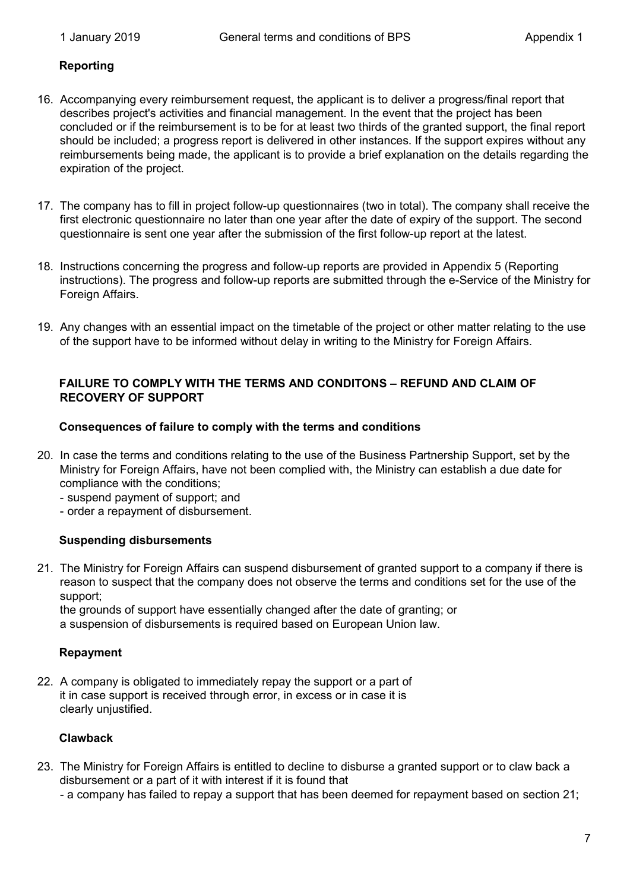#### **Reporting**

- 16. Accompanying every reimbursement request, the applicant is to deliver a progress/final report that describes project's activities and financial management. In the event that the project has been concluded or if the reimbursement is to be for at least two thirds of the granted support, the final report should be included; a progress report is delivered in other instances. If the support expires without any reimbursements being made, the applicant is to provide a brief explanation on the details regarding the expiration of the project.
- 17. The company has to fill in project follow-up questionnaires (two in total). The company shall receive the first electronic questionnaire no later than one year after the date of expiry of the support. The second questionnaire is sent one year after the submission of the first follow-up report at the latest.
- 18. Instructions concerning the progress and follow-up reports are provided in Appendix 5 (Reporting instructions). The progress and follow-up reports are submitted through the e-Service of the Ministry for Foreign Affairs.
- 19. Any changes with an essential impact on the timetable of the project or other matter relating to the use of the support have to be informed without delay in writing to the Ministry for Foreign Affairs.

#### **FAILURE TO COMPLY WITH THE TERMS AND CONDITONS – REFUND AND CLAIM OF RECOVERY OF SUPPORT**

#### **Consequences of failure to comply with the terms and conditions**

- 20. In case the terms and conditions relating to the use of the Business Partnership Support, set by the Ministry for Foreign Affairs, have not been complied with, the Ministry can establish a due date for compliance with the conditions;
	- suspend payment of support; and
	- order a repayment of disbursement.

#### **Suspending disbursements**

21. The Ministry for Foreign Affairs can suspend disbursement of granted support to a company if there is reason to suspect that the company does not observe the terms and conditions set for the use of the support;

the grounds of support have essentially changed after the date of granting; or a suspension of disbursements is required based on European Union law.

#### **Repayment**

22. A company is obligated to immediately repay the support or a part of it in case support is received through error, in excess or in case it is clearly unjustified.

#### **Clawback**

- 23. The Ministry for Foreign Affairs is entitled to decline to disburse a granted support or to claw back a disbursement or a part of it with interest if it is found that
	- a company has failed to repay a support that has been deemed for repayment based on section 21;